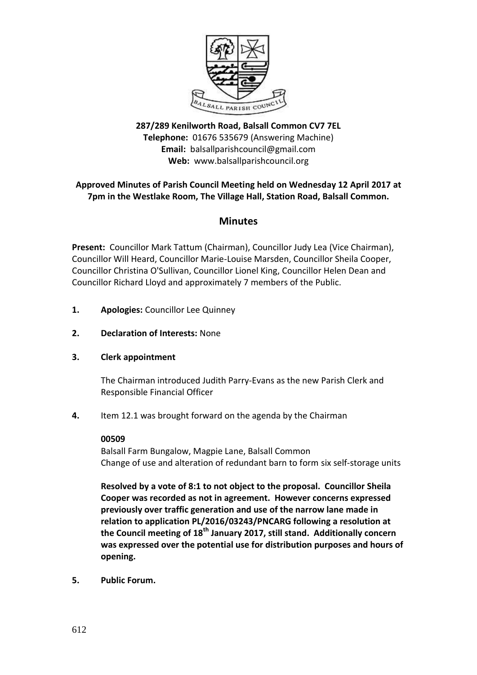

# **287/289 Kenilworth Road, Balsall Common CV7 7EL Telephone:** 01676 535679 (Answering Machine) **Email:** balsallparishcouncil@gmail.com **Web:** www.balsallparishcouncil.org

# **Approved Minutes of Parish Council Meeting held on Wednesday 12 April 2017 at 7pm in the Westlake Room, The Village Hall, Station Road, Balsall Common.**

# **Minutes**

**Present:** Councillor Mark Tattum (Chairman), Councillor Judy Lea (Vice Chairman), Councillor Will Heard, Councillor Marie-Louise Marsden, Councillor Sheila Cooper, Councillor Christina O'Sullivan, Councillor Lionel King, Councillor Helen Dean and Councillor Richard Lloyd and approximately 7 members of the Public.

- **1. Apologies:** Councillor Lee Quinney
- **2. Declaration of Interests:** None
- **3. Clerk appointment**

The Chairman introduced Judith Parry-Evans as the new Parish Clerk and Responsible Financial Officer

**4.** Item 12.1 was brought forward on the agenda by the Chairman

### **00509**

Balsall Farm Bungalow, Magpie Lane, Balsall Common Change of use and alteration of redundant barn to form six self-storage units

**Resolved by a vote of 8:1 to not object to the proposal. Councillor Sheila Cooper was recorded as not in agreement. However concerns expressed previously over traffic generation and use of the narrow lane made in relation to application PL/2016/03243/PNCARG following a resolution at the Council meeting of 18th January 2017, still stand. Additionally concern was expressed over the potential use for distribution purposes and hours of opening.**

**5. Public Forum.**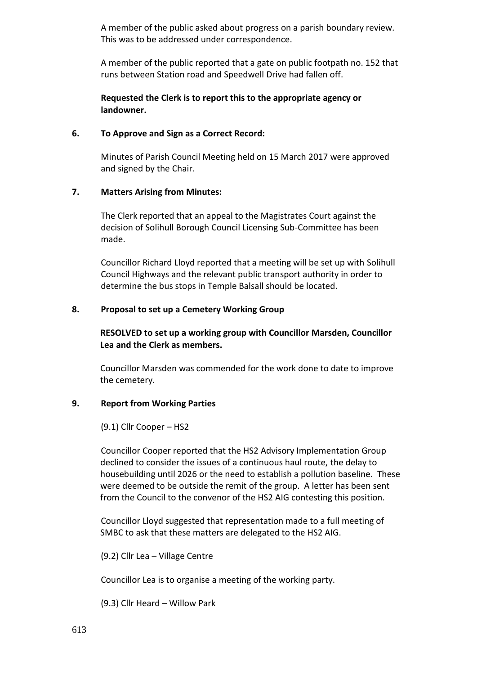A member of the public asked about progress on a parish boundary review. This was to be addressed under correspondence.

A member of the public reported that a gate on public footpath no. 152 that runs between Station road and Speedwell Drive had fallen off.

# **Requested the Clerk is to report this to the appropriate agency or landowner.**

### **6. To Approve and Sign as a Correct Record:**

Minutes of Parish Council Meeting held on 15 March 2017 were approved and signed by the Chair.

### **7. Matters Arising from Minutes:**

The Clerk reported that an appeal to the Magistrates Court against the decision of Solihull Borough Council Licensing Sub-Committee has been made.

Councillor Richard Lloyd reported that a meeting will be set up with Solihull Council Highways and the relevant public transport authority in order to determine the bus stops in Temple Balsall should be located.

### **8. Proposal to set up a Cemetery Working Group**

**RESOLVED to set up a working group with Councillor Marsden, Councillor Lea and the Clerk as members.**

Councillor Marsden was commended for the work done to date to improve the cemetery.

# **9. Report from Working Parties**

(9.1) Cllr Cooper – HS2

Councillor Cooper reported that the HS2 Advisory Implementation Group declined to consider the issues of a continuous haul route, the delay to housebuilding until 2026 or the need to establish a pollution baseline. These were deemed to be outside the remit of the group. A letter has been sent from the Council to the convenor of the HS2 AIG contesting this position.

Councillor Lloyd suggested that representation made to a full meeting of SMBC to ask that these matters are delegated to the HS2 AIG.

(9.2) Cllr Lea – Village Centre

Councillor Lea is to organise a meeting of the working party.

(9.3) Cllr Heard – Willow Park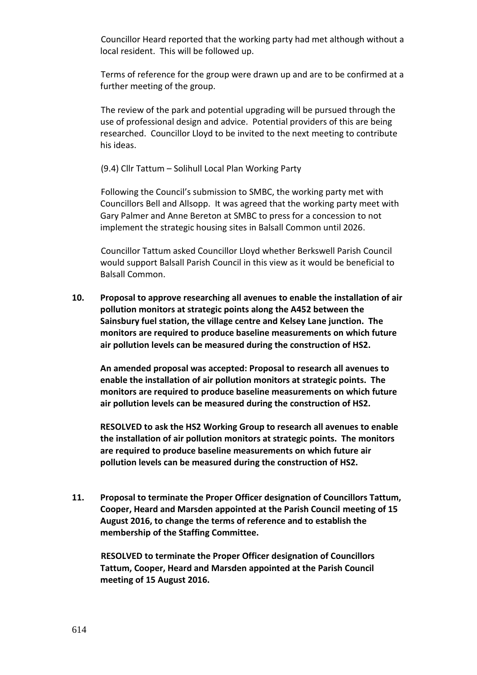Councillor Heard reported that the working party had met although without a local resident. This will be followed up.

Terms of reference for the group were drawn up and are to be confirmed at a further meeting of the group.

The review of the park and potential upgrading will be pursued through the use of professional design and advice. Potential providers of this are being researched. Councillor Lloyd to be invited to the next meeting to contribute his ideas.

(9.4) Cllr Tattum – Solihull Local Plan Working Party

Following the Council's submission to SMBC, the working party met with Councillors Bell and Allsopp. It was agreed that the working party meet with Gary Palmer and Anne Bereton at SMBC to press for a concession to not implement the strategic housing sites in Balsall Common until 2026.

Councillor Tattum asked Councillor Lloyd whether Berkswell Parish Council would support Balsall Parish Council in this view as it would be beneficial to Balsall Common.

**10. Proposal to approve researching all avenues to enable the installation of air pollution monitors at strategic points along the A452 between the Sainsbury fuel station, the village centre and Kelsey Lane junction. The monitors are required to produce baseline measurements on which future air pollution levels can be measured during the construction of HS2.**

**An amended proposal was accepted: Proposal to research all avenues to enable the installation of air pollution monitors at strategic points. The monitors are required to produce baseline measurements on which future air pollution levels can be measured during the construction of HS2.**

**RESOLVED to ask the HS2 Working Group to research all avenues to enable the installation of air pollution monitors at strategic points. The monitors are required to produce baseline measurements on which future air pollution levels can be measured during the construction of HS2.**

**11. Proposal to terminate the Proper Officer designation of Councillors Tattum, Cooper, Heard and Marsden appointed at the Parish Council meeting of 15 August 2016, to change the terms of reference and to establish the membership of the Staffing Committee.**

**RESOLVED to terminate the Proper Officer designation of Councillors Tattum, Cooper, Heard and Marsden appointed at the Parish Council meeting of 15 August 2016.**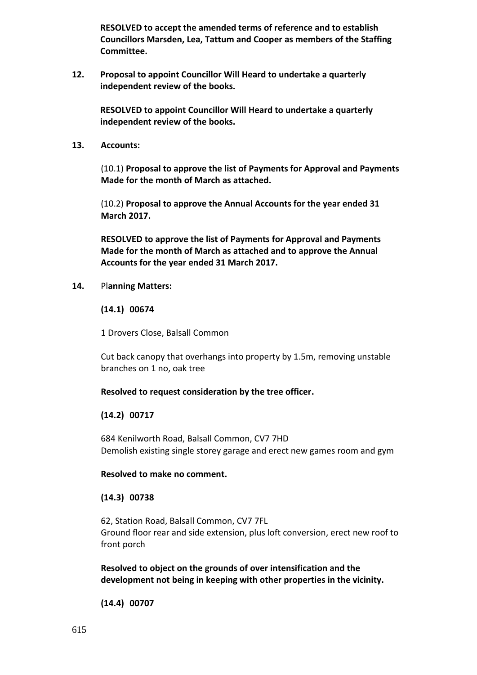**RESOLVED to accept the amended terms of reference and to establish Councillors Marsden, Lea, Tattum and Cooper as members of the Staffing Committee.**

**12. Proposal to appoint Councillor Will Heard to undertake a quarterly independent review of the books.**

**RESOLVED to appoint Councillor Will Heard to undertake a quarterly independent review of the books.**

**13. Accounts:**

(10.1) **Proposal to approve the list of Payments for Approval and Payments Made for the month of March as attached.**

(10.2) **Proposal to approve the Annual Accounts for the year ended 31 March 2017.**

**RESOLVED to approve the list of Payments for Approval and Payments Made for the month of March as attached and to approve the Annual Accounts for the year ended 31 March 2017.**

**14.** Pl**anning Matters:**

**(14.1) 00674**

1 Drovers Close, Balsall Common

Cut back canopy that overhangs into property by 1.5m, removing unstable branches on 1 no, oak tree

### **Resolved to request consideration by the tree officer.**

# **(14.2) 00717**

684 Kenilworth Road, Balsall Common, CV7 7HD Demolish existing single storey garage and erect new games room and gym

### **Resolved to make no comment.**

# **(14.3) 00738**

62, Station Road, Balsall Common, CV7 7FL Ground floor rear and side extension, plus loft conversion, erect new roof to front porch

**Resolved to object on the grounds of over intensification and the development not being in keeping with other properties in the vicinity.**

**(14.4) 00707**